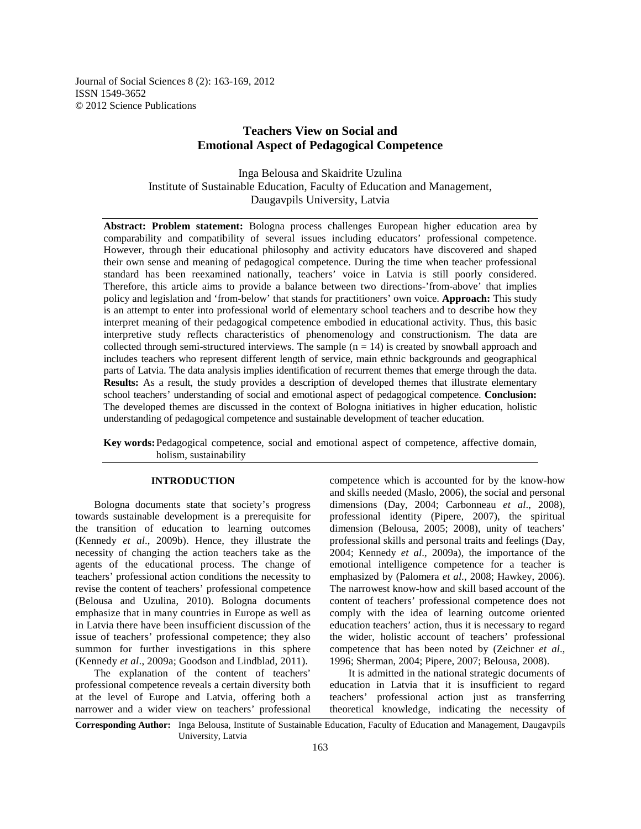Journal of Social Sciences 8 (2): 163-169, 2012 ISSN 1549-3652 © 2012 Science Publications

# **Teachers View on Social and Emotional Aspect of Pedagogical Competence**

Inga Belousa and Skaidrite Uzulina Institute of Sustainable Education, Faculty of Education and Management, Daugavpils University, Latvia

**Abstract: Problem statement:** Bologna process challenges European higher education area by comparability and compatibility of several issues including educators' professional competence. However, through their educational philosophy and activity educators have discovered and shaped their own sense and meaning of pedagogical competence. During the time when teacher professional standard has been reexamined nationally, teachers' voice in Latvia is still poorly considered. Therefore, this article aims to provide a balance between two directions-'from-above' that implies policy and legislation and 'from-below' that stands for practitioners' own voice. **Approach:** This study is an attempt to enter into professional world of elementary school teachers and to describe how they interpret meaning of their pedagogical competence embodied in educational activity. Thus, this basic interpretive study reflects characteristics of phenomenology and constructionism. The data are collected through semi-structured interviews. The sample  $(n = 14)$  is created by snowball approach and includes teachers who represent different length of service, main ethnic backgrounds and geographical parts of Latvia. The data analysis implies identification of recurrent themes that emerge through the data. **Results:** As a result, the study provides a description of developed themes that illustrate elementary school teachers' understanding of social and emotional aspect of pedagogical competence. **Conclusion:** The developed themes are discussed in the context of Bologna initiatives in higher education, holistic understanding of pedagogical competence and sustainable development of teacher education.

**Key words:** Pedagogical competence, social and emotional aspect of competence, affective domain, holism, sustainability

# **INTRODUCTION**

 Bologna documents state that society's progress towards sustainable development is a prerequisite for the transition of education to learning outcomes (Kennedy *et al*., 2009b). Hence, they illustrate the necessity of changing the action teachers take as the agents of the educational process. The change of teachers' professional action conditions the necessity to revise the content of teachers' professional competence (Belousa and Uzulina, 2010). Bologna documents emphasize that in many countries in Europe as well as in Latvia there have been insufficient discussion of the issue of teachers' professional competence; they also summon for further investigations in this sphere (Kennedy *et al*., 2009a; Goodson and Lindblad, 2011).

 The explanation of the content of teachers' professional competence reveals a certain diversity both at the level of Europe and Latvia, offering both a narrower and a wider view on teachers' professional

competence which is accounted for by the know-how and skills needed (Maslo, 2006), the social and personal dimensions (Day, 2004; Carbonneau *et al*., 2008), professional identity (Pipere, 2007), the spiritual dimension (Belousa, 2005; 2008), unity of teachers' professional skills and personal traits and feelings (Day, 2004; Kennedy *et al*., 2009a), the importance of the emotional intelligence competence for a teacher is emphasized by (Palomera *et al*., 2008; Hawkey, 2006). The narrowest know-how and skill based account of the content of teachers' professional competence does not comply with the idea of learning outcome oriented education teachers' action, thus it is necessary to regard the wider, holistic account of teachers' professional competence that has been noted by (Zeichner *et al*., 1996; Sherman, 2004; Pipere, 2007; Belousa, 2008).

 It is admitted in the national strategic documents of education in Latvia that it is insufficient to regard teachers' professional action just as transferring theoretical knowledge, indicating the necessity of

**Corresponding Author:** Inga Belousa, Institute of Sustainable Education, Faculty of Education and Management, Daugavpils University, Latvia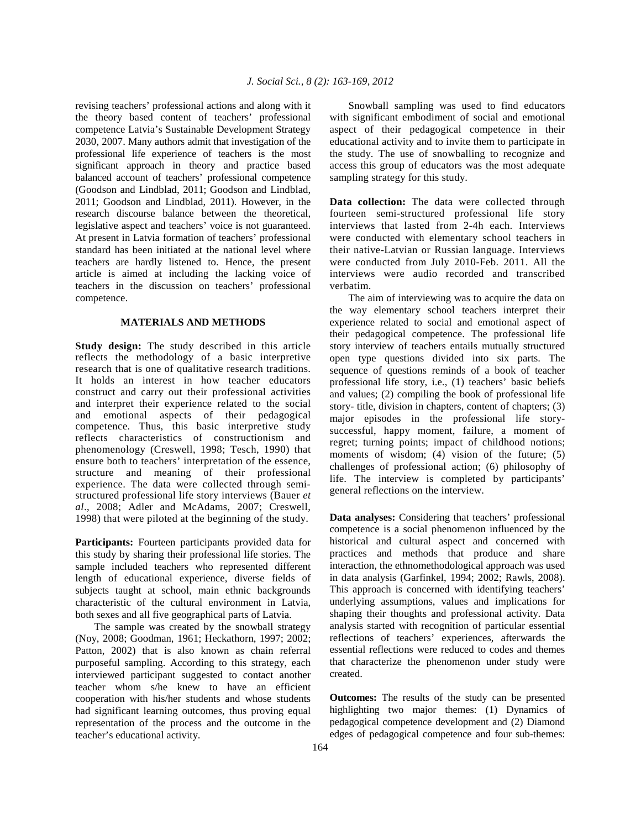revising teachers' professional actions and along with it the theory based content of teachers' professional competence Latvia's Sustainable Development Strategy 2030, 2007. Many authors admit that investigation of the professional life experience of teachers is the most significant approach in theory and practice based balanced account of teachers' professional competence (Goodson and Lindblad, 2011; Goodson and Lindblad, 2011; Goodson and Lindblad, 2011). However, in the research discourse balance between the theoretical, legislative aspect and teachers' voice is not guaranteed. At present in Latvia formation of teachers' professional standard has been initiated at the national level where teachers are hardly listened to. Hence, the present article is aimed at including the lacking voice of teachers in the discussion on teachers' professional competence.

# **MATERIALS AND METHODS**

**Study design:** The study described in this article reflects the methodology of a basic interpretive research that is one of qualitative research traditions. It holds an interest in how teacher educators construct and carry out their professional activities and interpret their experience related to the social and emotional aspects of their pedagogical competence. Thus, this basic interpretive study reflects characteristics of constructionism and phenomenology (Creswell, 1998; Tesch, 1990) that ensure both to teachers' interpretation of the essence, structure and meaning of their professional experience. The data were collected through semistructured professional life story interviews (Bauer *et al*., 2008; Adler and McAdams, 2007; Creswell, 1998) that were piloted at the beginning of the study.

Participants: Fourteen participants provided data for this study by sharing their professional life stories. The sample included teachers who represented different length of educational experience, diverse fields of subjects taught at school, main ethnic backgrounds characteristic of the cultural environment in Latvia, both sexes and all five geographical parts of Latvia.

 The sample was created by the snowball strategy (Noy, 2008; Goodman, 1961; Heckathorn, 1997; 2002; Patton, 2002) that is also known as chain referral purposeful sampling. According to this strategy, each interviewed participant suggested to contact another teacher whom s/he knew to have an efficient cooperation with his/her students and whose students had significant learning outcomes, thus proving equal representation of the process and the outcome in the teacher's educational activity.

 Snowball sampling was used to find educators with significant embodiment of social and emotional aspect of their pedagogical competence in their educational activity and to invite them to participate in the study. The use of snowballing to recognize and access this group of educators was the most adequate sampling strategy for this study.

**Data collection:** The data were collected through fourteen semi-structured professional life story interviews that lasted from 2-4h each. Interviews were conducted with elementary school teachers in their native-Latvian or Russian language. Interviews were conducted from July 2010-Feb. 2011. All the interviews were audio recorded and transcribed verbatim.

 The aim of interviewing was to acquire the data on the way elementary school teachers interpret their experience related to social and emotional aspect of their pedagogical competence. The professional life story interview of teachers entails mutually structured open type questions divided into six parts. The sequence of questions reminds of a book of teacher professional life story, i.e., (1) teachers' basic beliefs and values; (2) compiling the book of professional life story- title, division in chapters, content of chapters; (3) major episodes in the professional life storysuccessful, happy moment, failure, a moment of regret; turning points; impact of childhood notions; moments of wisdom; (4) vision of the future; (5) challenges of professional action; (6) philosophy of life. The interview is completed by participants' general reflections on the interview.

**Data analyses:** Considering that teachers' professional competence is a social phenomenon influenced by the historical and cultural aspect and concerned with practices and methods that produce and share interaction, the ethnomethodological approach was used in data analysis (Garfinkel, 1994; 2002; Rawls, 2008). This approach is concerned with identifying teachers' underlying assumptions, values and implications for shaping their thoughts and professional activity. Data analysis started with recognition of particular essential reflections of teachers' experiences, afterwards the essential reflections were reduced to codes and themes that characterize the phenomenon under study were created.

**Outcomes:** The results of the study can be presented highlighting two major themes: (1) Dynamics of pedagogical competence development and (2) Diamond edges of pedagogical competence and four sub-themes: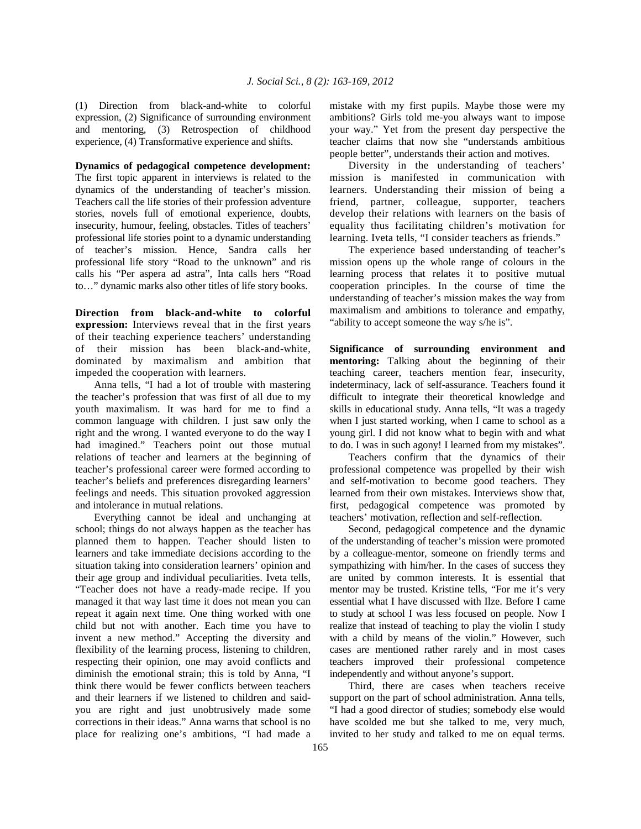(1) Direction from black-and-white to colorful expression, (2) Significance of surrounding environment and mentoring, (3) Retrospection of childhood experience, (4) Transformative experience and shifts.

**Dynamics of pedagogical competence development:**  The first topic apparent in interviews is related to the dynamics of the understanding of teacher's mission. Teachers call the life stories of their profession adventure stories, novels full of emotional experience, doubts, insecurity, humour, feeling, obstacles. Titles of teachers' professional life stories point to a dynamic understanding of teacher's mission. Hence, Sandra calls her professional life story "Road to the unknown" and ris calls his "Per aspera ad astra", Inta calls hers "Road to…" dynamic marks also other titles of life story books.

**Direction from black-and-white to colorful expression:** Interviews reveal that in the first years of their teaching experience teachers' understanding of their mission has been black-and-white, dominated by maximalism and ambition that impeded the cooperation with learners.

 Anna tells, "I had a lot of trouble with mastering the teacher's profession that was first of all due to my youth maximalism. It was hard for me to find a common language with children. I just saw only the right and the wrong. I wanted everyone to do the way I had imagined." Teachers point out those mutual relations of teacher and learners at the beginning of teacher's professional career were formed according to teacher's beliefs and preferences disregarding learners' feelings and needs. This situation provoked aggression and intolerance in mutual relations.

 Everything cannot be ideal and unchanging at school; things do not always happen as the teacher has planned them to happen. Teacher should listen to learners and take immediate decisions according to the situation taking into consideration learners' opinion and their age group and individual peculiarities. Iveta tells, "Teacher does not have a ready-made recipe. If you managed it that way last time it does not mean you can repeat it again next time. One thing worked with one child but not with another. Each time you have to invent a new method." Accepting the diversity and flexibility of the learning process, listening to children, respecting their opinion, one may avoid conflicts and diminish the emotional strain; this is told by Anna, "I think there would be fewer conflicts between teachers and their learners if we listened to children and saidyou are right and just unobtrusively made some corrections in their ideas." Anna warns that school is no place for realizing one's ambitions, "I had made a mistake with my first pupils. Maybe those were my ambitions? Girls told me-you always want to impose your way." Yet from the present day perspective the teacher claims that now she "understands ambitious people better", understands their action and motives.

 Diversity in the understanding of teachers' mission is manifested in communication with learners. Understanding their mission of being a friend, partner, colleague, supporter, teachers develop their relations with learners on the basis of equality thus facilitating children's motivation for learning. Iveta tells, "I consider teachers as friends."

 The experience based understanding of teacher's mission opens up the whole range of colours in the learning process that relates it to positive mutual cooperation principles. In the course of time the understanding of teacher's mission makes the way from maximalism and ambitions to tolerance and empathy, "ability to accept someone the way s/he is".

**Significance of surrounding environment and mentoring:** Talking about the beginning of their teaching career, teachers mention fear, insecurity, indeterminacy, lack of self-assurance. Teachers found it difficult to integrate their theoretical knowledge and skills in educational study. Anna tells, "It was a tragedy when I just started working, when I came to school as a young girl. I did not know what to begin with and what to do. I was in such agony! I learned from my mistakes".

 Teachers confirm that the dynamics of their professional competence was propelled by their wish and self-motivation to become good teachers. They learned from their own mistakes. Interviews show that, first, pedagogical competence was promoted by teachers' motivation, reflection and self-reflection.

 Second, pedagogical competence and the dynamic of the understanding of teacher's mission were promoted by a colleague-mentor, someone on friendly terms and sympathizing with him/her. In the cases of success they are united by common interests. It is essential that mentor may be trusted. Kristine tells, "For me it's very essential what I have discussed with Ilze. Before I came to study at school I was less focused on people. Now I realize that instead of teaching to play the violin I study with a child by means of the violin." However, such cases are mentioned rather rarely and in most cases teachers improved their professional competence independently and without anyone's support.

 Third, there are cases when teachers receive support on the part of school administration. Anna tells, "I had a good director of studies; somebody else would have scolded me but she talked to me, very much, invited to her study and talked to me on equal terms.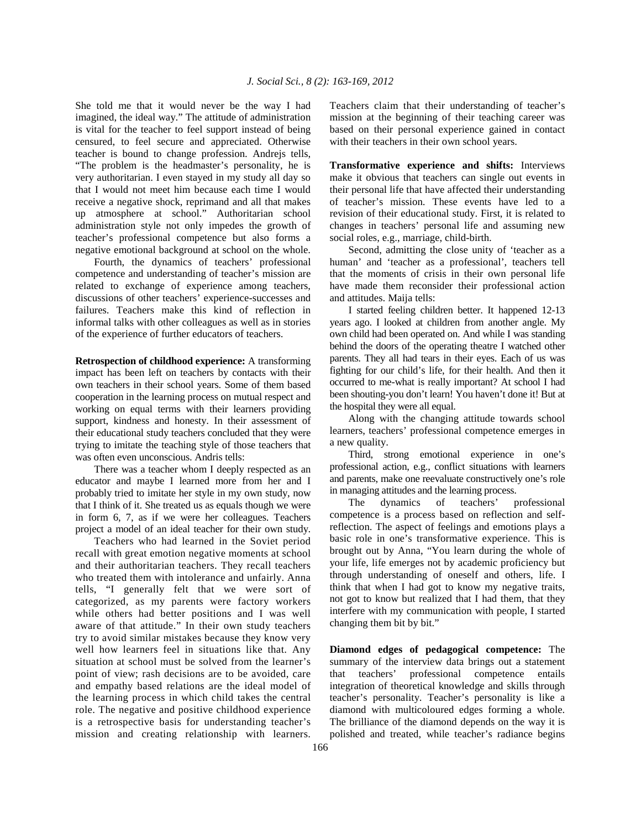She told me that it would never be the way I had imagined, the ideal way." The attitude of administration is vital for the teacher to feel support instead of being censured, to feel secure and appreciated. Otherwise teacher is bound to change profession. Andrejs tells, "The problem is the headmaster's personality, he is very authoritarian. I even stayed in my study all day so that I would not meet him because each time I would receive a negative shock, reprimand and all that makes up atmosphere at school." Authoritarian school administration style not only impedes the growth of teacher's professional competence but also forms a negative emotional background at school on the whole.

 Fourth, the dynamics of teachers' professional competence and understanding of teacher's mission are related to exchange of experience among teachers, discussions of other teachers' experience-successes and failures. Teachers make this kind of reflection in informal talks with other colleagues as well as in stories of the experience of further educators of teachers.

**Retrospection of childhood experience:** A transforming impact has been left on teachers by contacts with their own teachers in their school years. Some of them based cooperation in the learning process on mutual respect and working on equal terms with their learners providing support, kindness and honesty. In their assessment of their educational study teachers concluded that they were trying to imitate the teaching style of those teachers that was often even unconscious. Andris tells:

 There was a teacher whom I deeply respected as an educator and maybe I learned more from her and I probably tried to imitate her style in my own study, now that I think of it. She treated us as equals though we were in form 6, 7, as if we were her colleagues. Teachers project a model of an ideal teacher for their own study.

 Teachers who had learned in the Soviet period recall with great emotion negative moments at school and their authoritarian teachers. They recall teachers who treated them with intolerance and unfairly. Anna tells, "I generally felt that we were sort of categorized, as my parents were factory workers while others had better positions and I was well aware of that attitude." In their own study teachers try to avoid similar mistakes because they know very well how learners feel in situations like that. Any situation at school must be solved from the learner's point of view; rash decisions are to be avoided, care and empathy based relations are the ideal model of the learning process in which child takes the central role. The negative and positive childhood experience is a retrospective basis for understanding teacher's mission and creating relationship with learners.

Teachers claim that their understanding of teacher's mission at the beginning of their teaching career was based on their personal experience gained in contact with their teachers in their own school years.

**Transformative experience and shifts:** Interviews make it obvious that teachers can single out events in their personal life that have affected their understanding of teacher's mission. These events have led to a revision of their educational study. First, it is related to changes in teachers' personal life and assuming new social roles, e.g., marriage, child-birth.

 Second, admitting the close unity of 'teacher as a human' and 'teacher as a professional', teachers tell that the moments of crisis in their own personal life have made them reconsider their professional action and attitudes. Maija tells:

 I started feeling children better. It happened 12-13 years ago. I looked at children from another angle. My own child had been operated on. And while I was standing behind the doors of the operating theatre I watched other parents. They all had tears in their eyes. Each of us was fighting for our child's life, for their health. And then it occurred to me-what is really important? At school I had been shouting-you don't learn! You haven't done it! But at the hospital they were all equal.

 Along with the changing attitude towards school learners, teachers' professional competence emerges in a new quality.

 Third, strong emotional experience in one's professional action, e.g., conflict situations with learners and parents, make one reevaluate constructively one's role in managing attitudes and the learning process.

 The dynamics of teachers' professional competence is a process based on reflection and selfreflection. The aspect of feelings and emotions plays a basic role in one's transformative experience. This is brought out by Anna, "You learn during the whole of your life, life emerges not by academic proficiency but through understanding of oneself and others, life. I think that when I had got to know my negative traits, not got to know but realized that I had them, that they interfere with my communication with people, I started changing them bit by bit."

**Diamond edges of pedagogical competence:** The summary of the interview data brings out a statement that teachers' professional competence entails integration of theoretical knowledge and skills through teacher's personality. Teacher's personality is like a diamond with multicoloured edges forming a whole. The brilliance of the diamond depends on the way it is polished and treated, while teacher's radiance begins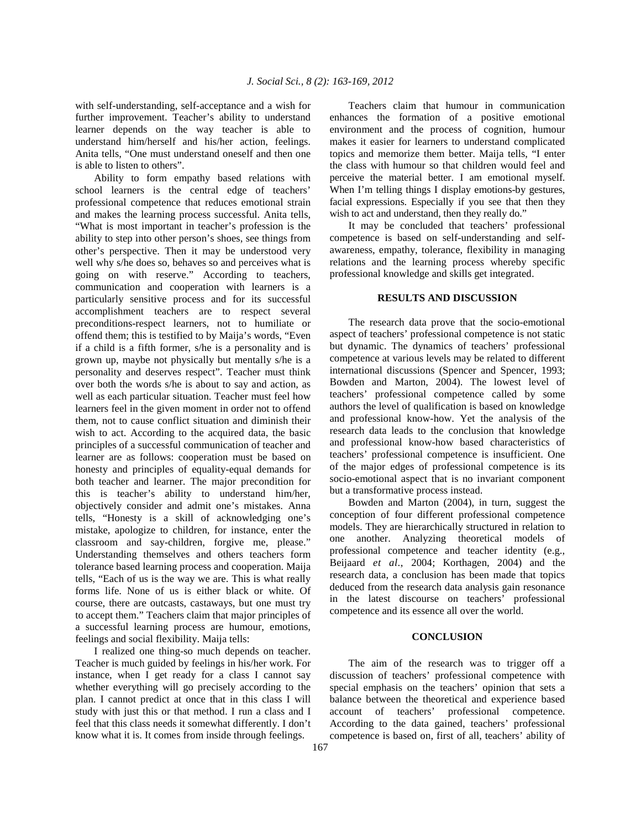with self-understanding, self-acceptance and a wish for further improvement. Teacher's ability to understand learner depends on the way teacher is able to understand him/herself and his/her action, feelings. Anita tells, "One must understand oneself and then one is able to listen to others".

 Ability to form empathy based relations with school learners is the central edge of teachers' professional competence that reduces emotional strain and makes the learning process successful. Anita tells, "What is most important in teacher's profession is the ability to step into other person's shoes, see things from other's perspective. Then it may be understood very well why s/he does so, behaves so and perceives what is going on with reserve." According to teachers, communication and cooperation with learners is a particularly sensitive process and for its successful accomplishment teachers are to respect several preconditions-respect learners, not to humiliate or offend them; this is testified to by Maija's words, "Even if a child is a fifth former, s/he is a personality and is grown up, maybe not physically but mentally s/he is a personality and deserves respect". Teacher must think over both the words s/he is about to say and action, as well as each particular situation. Teacher must feel how learners feel in the given moment in order not to offend them, not to cause conflict situation and diminish their wish to act. According to the acquired data, the basic principles of a successful communication of teacher and learner are as follows: cooperation must be based on honesty and principles of equality-equal demands for both teacher and learner. The major precondition for this is teacher's ability to understand him/her, objectively consider and admit one's mistakes. Anna tells, "Honesty is a skill of acknowledging one's mistake, apologize to children, for instance, enter the classroom and say-children, forgive me, please." Understanding themselves and others teachers form tolerance based learning process and cooperation. Maija tells, "Each of us is the way we are. This is what really forms life. None of us is either black or white. Of course, there are outcasts, castaways, but one must try to accept them." Teachers claim that major principles of a successful learning process are humour, emotions, feelings and social flexibility. Maija tells:

 I realized one thing-so much depends on teacher. Teacher is much guided by feelings in his/her work. For instance, when I get ready for a class I cannot say whether everything will go precisely according to the plan. I cannot predict at once that in this class I will study with just this or that method. I run a class and I feel that this class needs it somewhat differently. I don't know what it is. It comes from inside through feelings.

 Teachers claim that humour in communication enhances the formation of a positive emotional environment and the process of cognition, humour makes it easier for learners to understand complicated topics and memorize them better. Maija tells, "I enter the class with humour so that children would feel and perceive the material better. I am emotional myself. When I'm telling things I display emotions-by gestures, facial expressions. Especially if you see that then they wish to act and understand, then they really do."

 It may be concluded that teachers' professional competence is based on self-understanding and selfawareness, empathy, tolerance, flexibility in managing relations and the learning process whereby specific professional knowledge and skills get integrated.

#### **RESULTS AND DISCUSSION**

 The research data prove that the socio-emotional aspect of teachers' professional competence is not static but dynamic. The dynamics of teachers' professional competence at various levels may be related to different international discussions (Spencer and Spencer, 1993; Bowden and Marton, 2004). The lowest level of teachers' professional competence called by some authors the level of qualification is based on knowledge and professional know-how. Yet the analysis of the research data leads to the conclusion that knowledge and professional know-how based characteristics of teachers' professional competence is insufficient. One of the major edges of professional competence is its socio-emotional aspect that is no invariant component but a transformative process instead.

 Bowden and Marton (2004), in turn, suggest the conception of four different professional competence models. They are hierarchically structured in relation to one another. Analyzing theoretical models of professional competence and teacher identity (e.g., Beijaard *et al*., 2004; Korthagen, 2004) and the research data, a conclusion has been made that topics deduced from the research data analysis gain resonance in the latest discourse on teachers' professional competence and its essence all over the world.

## **CONCLUSION**

 The aim of the research was to trigger off a discussion of teachers' professional competence with special emphasis on the teachers' opinion that sets a balance between the theoretical and experience based account of teachers' professional competence. According to the data gained, teachers' professional competence is based on, first of all, teachers' ability of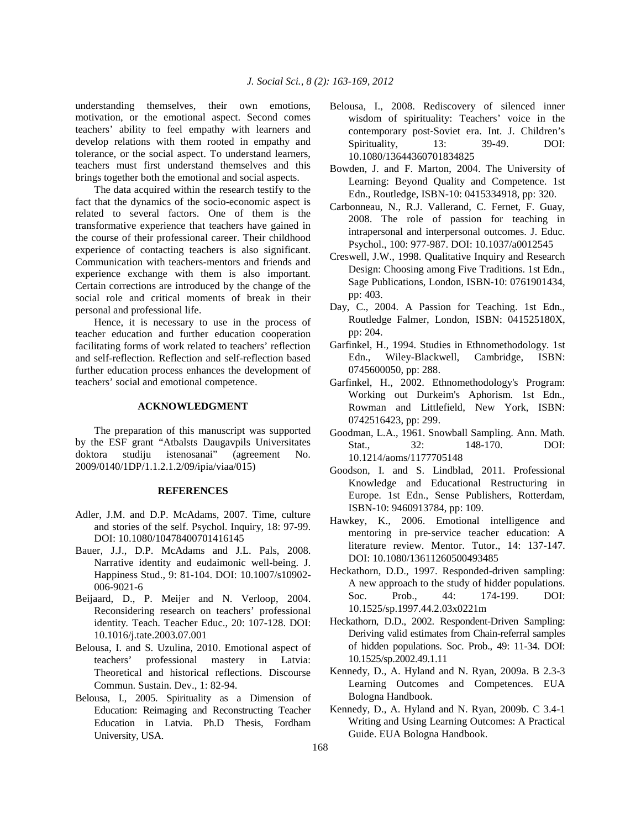understanding themselves, their own emotions, motivation, or the emotional aspect. Second comes teachers' ability to feel empathy with learners and develop relations with them rooted in empathy and tolerance, or the social aspect. To understand learners, teachers must first understand themselves and this brings together both the emotional and social aspects.

 The data acquired within the research testify to the fact that the dynamics of the socio-economic aspect is related to several factors. One of them is the transformative experience that teachers have gained in the course of their professional career. Their childhood experience of contacting teachers is also significant. Communication with teachers-mentors and friends and experience exchange with them is also important. Certain corrections are introduced by the change of the social role and critical moments of break in their personal and professional life.

 Hence, it is necessary to use in the process of teacher education and further education cooperation facilitating forms of work related to teachers' reflection and self-reflection. Reflection and self-reflection based further education process enhances the development of teachers' social and emotional competence.

# **ACKNOWLEDGMENT**

 The preparation of this manuscript was supported by the ESF grant "Atbalsts Daugavpils Universitates doktora studiju istenosanai" (agreement No. 2009/0140/1DP/1.1.2.1.2/09/ipia/viaa/015)

### **REFERENCES**

- Adler, J.M. and D.P. McAdams, 2007. Time, culture and stories of the self. Psychol. Inquiry, 18: 97-99. DOI: 10.1080/10478400701416145
- Bauer, J.J., D.P. McAdams and J.L. Pals, 2008. Narrative identity and eudaimonic well-being. J. Happiness Stud., 9: 81-104. DOI: 10.1007/s10902- 006-9021-6
- Beijaard, D., P. Meijer and N. Verloop, 2004. Reconsidering research on teachers' professional identity*.* Teach. Teacher Educ., 20: 107-128. DOI: 10.1016/j.tate.2003.07.001
- Belousa, I. and S. Uzulina, 2010. Emotional aspect of teachers' professional mastery in Latvia: Theoretical and historical reflections. Discourse Commun. Sustain. Dev., 1: 82-94.
- Belousa, I., 2005. Spirituality as a Dimension of Education: Reimaging and Reconstructing Teacher Education in Latvia. Ph.D Thesis, Fordham University, USA.
- Belousa, I., 2008. Rediscovery of silenced inner wisdom of spirituality: Teachers' voice in the contemporary post‐Soviet era. Int. J. Children's Spirituality, 13: 39-49. DOI: 10.1080/13644360701834825
- Bowden, J. and F. Marton, 2004. The University of Learning: Beyond Quality and Competence. 1st Edn., Routledge, ISBN-10: 0415334918, pp: 320.
- Carbonneau, N., R.J. Vallerand, C. Fernet, F. Guay, 2008. The role of passion for teaching in intrapersonal and interpersonal outcomes. J. Educ. Psychol., 100: 977-987. DOI: 10.1037/a0012545
- Creswell, J.W., 1998. Qualitative Inquiry and Research Design: Choosing among Five Traditions. 1st Edn., Sage Publications, London, ISBN-10: 0761901434, pp: 403.
- Day, C., 2004. A Passion for Teaching. 1st Edn., Routledge Falmer, London, ISBN: 041525180X, pp: 204.
- Garfinkel, H., 1994. Studies in Ethnomethodology. 1st Edn., Wiley-Blackwell, Cambridge, ISBN: 0745600050, pp: 288.
- Garfinkel, H., 2002. Ethnomethodology's Program: Working out Durkeim's Aphorism. 1st Edn., Rowman and Littlefield, New York, ISBN: 0742516423, pp: 299.
- Goodman, L.A., 1961. Snowball Sampling. Ann. Math. Stat., 32: 148-170. DOI: 10.1214/aoms/1177705148
- Goodson, I. and S. Lindblad, 2011. Professional Knowledge and Educational Restructuring in Europe. 1st Edn., Sense Publishers, Rotterdam, ISBN-10: 9460913784, pp: 109.
- Hawkey, K., 2006. Emotional intelligence and mentoring in pre‐service teacher education: A literature review. Mentor. Tutor., 14: 137-147. DOI: 10.1080/13611260500493485
- Heckathorn, D.D., 1997. Responded-driven sampling: A new approach to the study of hidder populations. Soc. Prob., 44: 174-199. DOI: 10.1525/sp.1997.44.2.03x0221m
- Heckathorn, D.D., 2002. Respondent-Driven Sampling: Deriving valid estimates from Chain-referral samples of hidden populations. Soc. Prob., 49: 11-34. DOI: 10.1525/sp.2002.49.1.11
- Kennedy, D., A. Hyland and N. Ryan, 2009a. B 2.3-3 Learning Outcomes and Competences. EUA Bologna Handbook.
- Kennedy, D., A. Hyland and N. Ryan, 2009b. C 3.4-1 Writing and Using Learning Outcomes: A Practical Guide. EUA Bologna Handbook.